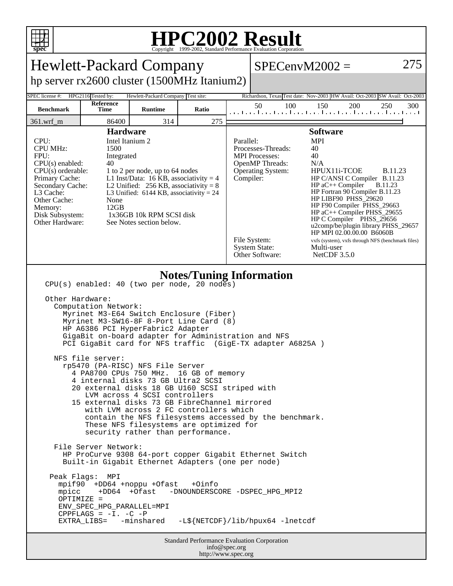

## **HPC2002 Result**

| <b>Hewlett-Packard Company</b>                                                                                                                                                                                                                                                                                                                                                                                                                                                                                                                                                                                                                                                                                                                                                                                                                                                                                                                                                                                                                                                                                                                                                                                                                    |                   |                |       |                                                                                                                                                                                                                                                                                                                                                                                                                                                                                                                                                                                                                                                                  | $SPECenvM2002 =$ |                                                                          | 275 |
|---------------------------------------------------------------------------------------------------------------------------------------------------------------------------------------------------------------------------------------------------------------------------------------------------------------------------------------------------------------------------------------------------------------------------------------------------------------------------------------------------------------------------------------------------------------------------------------------------------------------------------------------------------------------------------------------------------------------------------------------------------------------------------------------------------------------------------------------------------------------------------------------------------------------------------------------------------------------------------------------------------------------------------------------------------------------------------------------------------------------------------------------------------------------------------------------------------------------------------------------------|-------------------|----------------|-------|------------------------------------------------------------------------------------------------------------------------------------------------------------------------------------------------------------------------------------------------------------------------------------------------------------------------------------------------------------------------------------------------------------------------------------------------------------------------------------------------------------------------------------------------------------------------------------------------------------------------------------------------------------------|------------------|--------------------------------------------------------------------------|-----|
| hp server rx2600 cluster (1500MHz Itanium2)                                                                                                                                                                                                                                                                                                                                                                                                                                                                                                                                                                                                                                                                                                                                                                                                                                                                                                                                                                                                                                                                                                                                                                                                       |                   |                |       |                                                                                                                                                                                                                                                                                                                                                                                                                                                                                                                                                                                                                                                                  |                  |                                                                          |     |
| SPEC license #:<br>HPG2116 Tested by:<br>Hewlett-Packard Company Test site:<br>Richardson, Texas Test date: Nov-2003 HW Avail: Oct-2003 SW Avail: Oct-2003                                                                                                                                                                                                                                                                                                                                                                                                                                                                                                                                                                                                                                                                                                                                                                                                                                                                                                                                                                                                                                                                                        |                   |                |       |                                                                                                                                                                                                                                                                                                                                                                                                                                                                                                                                                                                                                                                                  |                  |                                                                          |     |
| <b>Benchmark</b>                                                                                                                                                                                                                                                                                                                                                                                                                                                                                                                                                                                                                                                                                                                                                                                                                                                                                                                                                                                                                                                                                                                                                                                                                                  | Reference<br>Time | <b>Runtime</b> | Ratio |                                                                                                                                                                                                                                                                                                                                                                                                                                                                                                                                                                                                                                                                  | 50<br>100        | 150<br>200<br>250<br>المتاحيط ووالمتاحيط ووالمواجبا ووالمواجبا ووالوواور | 300 |
| 361.wrf_m                                                                                                                                                                                                                                                                                                                                                                                                                                                                                                                                                                                                                                                                                                                                                                                                                                                                                                                                                                                                                                                                                                                                                                                                                                         | 86400             | 314            | 275   |                                                                                                                                                                                                                                                                                                                                                                                                                                                                                                                                                                                                                                                                  |                  |                                                                          |     |
| <b>Hardware</b><br>CPU:<br>Intel Itanium 2<br><b>CPU MHz:</b><br>1500<br>FPU:<br>Integrated<br>$CPU(s)$ enabled:<br>40<br>$CPU(s)$ orderable:<br>1 to 2 per node, up to 64 nodes<br>L1 Inst/Data: 16 KB, associativity = $4$<br>Primary Cache:<br>Secondary Cache:<br>L2 Unified: $256$ KB, associativity = 8<br>L3 Cache:<br>L3 Unified: $6144$ KB, associativity = 24<br>Other Cache:<br>None<br>12GB<br>Memory:<br>Disk Subsystem:<br>1x36GB 10k RPM SCSI disk<br>Other Hardware:<br>See Notes section below.                                                                                                                                                                                                                                                                                                                                                                                                                                                                                                                                                                                                                                                                                                                                  |                   |                |       | <b>Software</b><br>Parallel:<br><b>MPI</b><br>Processes-Threads:<br>40<br>40<br><b>MPI</b> Processes:<br><b>OpenMP</b> Threads:<br>N/A<br><b>Operating System:</b><br>HPUX11i-TCOE<br><b>B.11.23</b><br>Compiler:<br>HP C/ANSI C Compiler B.11.23<br>$HP$ aC++ Compiler<br><b>B.11.23</b><br>HP Fortran 90 Compiler B.11.23<br>HP LIBF90 PHSS 29620<br>HP F90 Compiler PHSS_29663<br>$HP$ aC++ Compiler PHSS_29655<br>HP C Compiler PHSS_29656<br>u2comp/be/plugin library PHSS_29657<br>HP MPI 02.00.00.00 B6060B<br>File System:<br>vxfs (system), vxfs through NFS (benchmark files)<br><b>System State:</b><br>Multi-user<br>Other Software:<br>NetCDF 3.5.0 |                  |                                                                          |     |
| <b>Notes/Tuning Information</b><br>$CPU(s)$ enabled: 40 (two per node, 20 nodes)<br>Other Hardware:<br>Computation Network:<br>Myrinet M3-E64 Switch Enclosure (Fiber)<br>Myrinet M3-SW16-8F 8-Port Line Card (8)<br>HP A6386 PCI HyperFabric2 Adapter<br>GigaBit on-board adapter for Administration and NFS<br>PCI GigaBit card for NFS traffic (GigE-TX adapter A6825A )<br>NFS file server:<br>rp5470 (PA-RISC) NFS File Server<br>4 PA8700 CPUs 750 MHz.<br>16 GB of memory<br>4 internal disks 73 GB Ultra2 SCSI<br>20 external disks 18 GB U160 SCSI striped with<br>LVM across 4 SCSI controllers<br>15 external disks 73 GB FibreChannel mirrored<br>with LVM across 2 FC controllers which<br>contain the NFS filesystems accessed by the benchmark.<br>These NFS filesystems are optimized for<br>security rather than performance.<br>File Server Network:<br>HP ProCurve 9308 64-port copper Gigabit Ethernet Switch<br>Built-in Gigabit Ethernet Adapters (one per node)<br>Peak Flags: MPI<br>mpif90 +DD64 +noppu +Ofast<br>+0info<br>mpicc<br>+DD64 +Ofast<br>-DNOUNDERSCORE -DSPEC_HPG_MPI2<br>$OPTIMIZE =$<br>ENV_SPEC_HPG_PARALLEL=MPI<br>CPPFLAGS = $-I. -C$ -P<br>-L\${NETCDF}/lib/hpux64 -lnetcdf<br>EXTRA_LIBS= -minshared |                   |                |       |                                                                                                                                                                                                                                                                                                                                                                                                                                                                                                                                                                                                                                                                  |                  |                                                                          |     |
| <b>Standard Performance Evaluation Corporation</b><br>info@spec.org<br>http://www.spec.org                                                                                                                                                                                                                                                                                                                                                                                                                                                                                                                                                                                                                                                                                                                                                                                                                                                                                                                                                                                                                                                                                                                                                        |                   |                |       |                                                                                                                                                                                                                                                                                                                                                                                                                                                                                                                                                                                                                                                                  |                  |                                                                          |     |